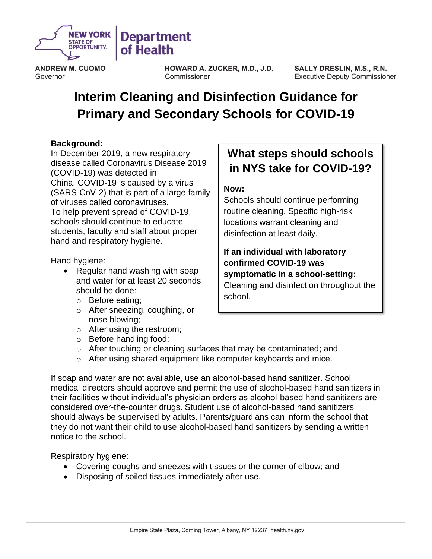

**ANDREW M. CUOMO** Governor

HOWARD A. ZUCKER, M.D., J.D. Commissioner

**SALLY DRESLIN, M.S., R.N. Executive Deputy Commissioner** 

# **Interim Cleaning and Disinfection Guidance for Primary and Secondary Schools for COVID-19**

#### **Background:**

In December 2019, a new respiratory disease called Coronavirus Disease 2019 (COVID-19) was detected in China. COVID-19 is caused by a virus (SARS-CoV-2) that is part of a large family of viruses called coronaviruses. To help prevent spread of COVID-19, schools should continue to educate students, faculty and staff about proper hand and respiratory hygiene.

Hand hygiene:

- Regular hand washing with soap and water for at least 20 seconds should be done:
	- o Before eating;
	- o After sneezing, coughing, or nose blowing;
	- o After using the restroom;
	- o Before handling food;
	- o After touching or cleaning surfaces that may be contaminated; and
	- o After using shared equipment like computer keyboards and mice.

If soap and water are not available, use an alcohol-based hand sanitizer. School medical directors should approve and permit the use of alcohol-based hand sanitizers in their facilities without individual's physician orders as alcohol-based hand sanitizers are considered over-the-counter drugs. Student use of alcohol-based hand sanitizers should always be supervised by adults. Parents/guardians can inform the school that they do not want their child to use alcohol-based hand sanitizers by sending a written notice to the school.

Respiratory hygiene:

- Covering coughs and sneezes with tissues or the corner of elbow; and
- Disposing of soiled tissues immediately after use.

## **What steps should schools in NYS take for COVID-19?**

#### **Now:**

Schools should continue performing routine cleaning. Specific high-risk locations warrant cleaning and disinfection at least daily.

### **If an individual with laboratory confirmed COVID-19 was**

#### **symptomatic in a school-setting:**

Cleaning and disinfection throughout the school.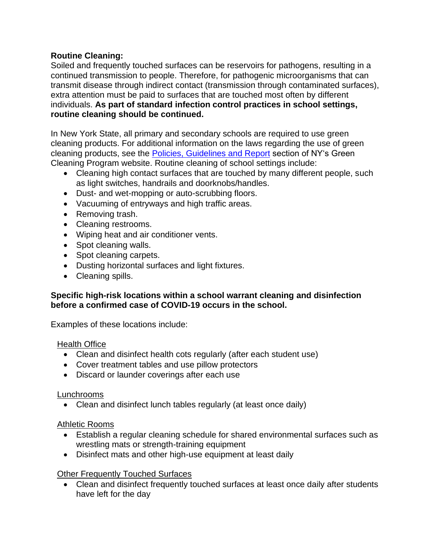#### **Routine Cleaning:**

Soiled and frequently touched surfaces can be reservoirs for pathogens, resulting in a continued transmission to people. Therefore, for pathogenic microorganisms that can transmit disease through indirect contact (transmission through contaminated surfaces), extra attention must be paid to surfaces that are touched most often by different individuals. **As part of standard infection control practices in school settings, routine cleaning should be continued.**

In New York State, all primary and secondary schools are required to use green cleaning products. For additional information on the laws regarding the use of green cleaning products, see the **Policies, Guidelines and Report** section of NY's Green Cleaning Program website. Routine cleaning of school settings include:

- Cleaning high contact surfaces that are touched by many different people, such as light switches, handrails and doorknobs/handles.
- Dust- and wet-mopping or auto-scrubbing floors.
- Vacuuming of entryways and high traffic areas.
- Removing trash.
- Cleaning restrooms.
- Wiping heat and air conditioner vents.
- Spot cleaning walls.
- Spot cleaning carpets.
- Dusting horizontal surfaces and light fixtures.
- Cleaning spills.

#### **Specific high-risk locations within a school warrant cleaning and disinfection before a confirmed case of COVID-19 occurs in the school.**

Examples of these locations include:

#### Health Office

- Clean and disinfect health cots regularly (after each student use)
- Cover treatment tables and use pillow protectors
- Discard or launder coverings after each use

#### Lunchrooms

• Clean and disinfect lunch tables regularly (at least once daily)

#### Athletic Rooms

- Establish a regular cleaning schedule for shared environmental surfaces such as wrestling mats or strength-training equipment
- Disinfect mats and other high-use equipment at least daily

#### Other Frequently Touched Surfaces

• Clean and disinfect frequently touched surfaces at least once daily after students have left for the day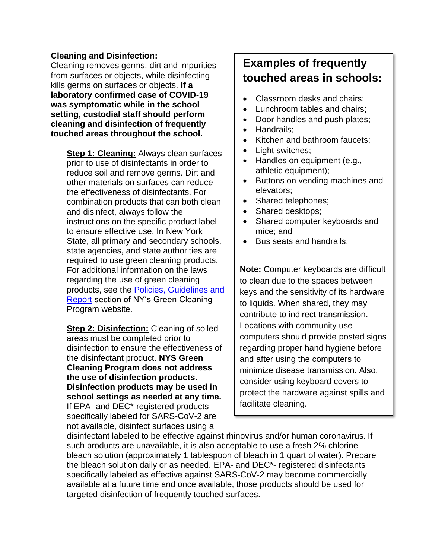#### **Cleaning and Disinfection:**

Cleaning removes germs, dirt and impurities from surfaces or objects, while disinfecting kills germs on surfaces or objects. **If a laboratory confirmed case of COVID-19 was symptomatic while in the school setting, custodial staff should perform cleaning and disinfection of frequently touched areas throughout the school.**

**Step 1: Cleaning:** Always clean surfaces prior to use of disinfectants in order to reduce soil and remove germs. Dirt and other materials on surfaces can reduce the effectiveness of disinfectants. For combination products that can both clean and disinfect, always follow the instructions on the specific product label to ensure effective use. In New York State, all primary and secondary schools, state agencies, and state authorities are required to use green cleaning products. For additional information on the laws regarding the use of green cleaning products, see the [Policies, Guidelines and](https://greencleaning.ny.gov/Policies.asp)  [Report](https://greencleaning.ny.gov/Policies.asp) section of NY's Green Cleaning Program website.

**Step 2: Disinfection:** Cleaning of soiled areas must be completed prior to disinfection to ensure the effectiveness of the disinfectant product. **NYS Green Cleaning Program does not address the use of disinfection products. Disinfection products may be used in school settings as needed at any time.**  If EPA- and DEC\*-registered products specifically labeled for SARS-CoV-2 are not available, disinfect surfaces using a

### **Examples of frequently touched areas in schools:**

- Classroom desks and chairs;
- Lunchroom tables and chairs;
- Door handles and push plates;
- Handrails;
- Kitchen and bathroom faucets;
- Light switches;
- Handles on equipment (e.g., athletic equipment);
- Buttons on vending machines and elevators;
- Shared telephones;
- Shared desktops;
- Shared computer keyboards and mice; and
- Bus seats and handrails.

**Note:** Computer keyboards are difficult to clean due to the spaces between keys and the sensitivity of its hardware to liquids. When shared, they may contribute to indirect transmission. Locations with community use computers should provide posted signs regarding proper hand hygiene before and after using the computers to minimize disease transmission. Also, consider using keyboard covers to protect the hardware against spills and facilitate cleaning.

disinfectant labeled to be effective against rhinovirus and/or human coronavirus. If such products are unavailable, it is also acceptable to use a fresh 2% chlorine bleach solution (approximately 1 tablespoon of bleach in 1 quart of water). Prepare the bleach solution daily or as needed. EPA- and DEC\*- registered disinfectants specifically labeled as effective against SARS-CoV-2 may become commercially available at a future time and once available, those products should be used for targeted disinfection of frequently touched surfaces.